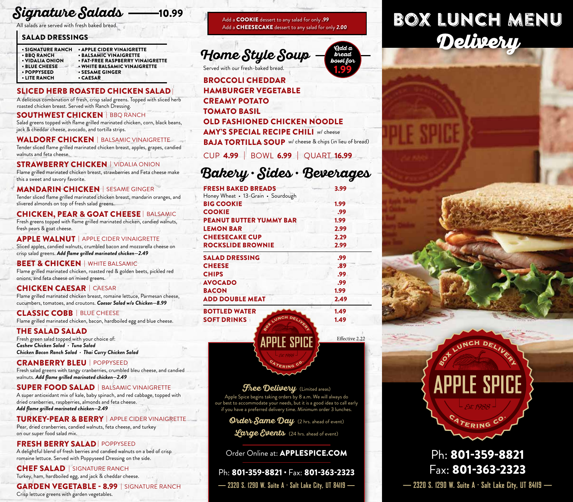#### **Signature Salads** 10.99

All salads are served with fresh baked bread.

### SALAD DRESSINGS

| <b>• SIGNATURE RANCH</b> | • APPLE CIDER VINAIGRETTE        |
|--------------------------|----------------------------------|
| <b>• BBQ RANCH</b>       | <b>• BALSAMIC VINAIGRETTE</b>    |
| • VIDALIA ONION          | • FAT-FREE RASPBERRY VINAIGRETTE |
| <b>• BLUE CHEESE</b>     | • WHITE BALSAMIC VINAIGRETTE     |
| • POPPYSEED              | <b>• SESAME GINGER</b>           |
| • LITE RANCH             | • CAESAR                         |
|                          |                                  |

## SLICED HERB ROASTED CHICKEN SALAD |

A delicious combination of fresh, crisp salad greens. Topped with sliced herb roasted chicken breast. Served with Ranch Dressing.

#### SOUTHWEST CHICKEN | BBQ RANCH

Salad greens topped with flame grilled marinated chicken, corn, black beans, jack & cheddar cheese, avocado, and tortilla strips.

#### WALDORF CHICKEN | BALSAMIC VINAIGRETTE

Tender sliced flame grilled marinated chicken breast, apples, grapes, candied walnuts and feta cheese.

#### STRAWBERRY CHICKEN | VIDALIA ONION

Flame grilled marinated chicken breast, strawberries and Feta cheese make this a sweet and savory favorite.

#### MANDARIN CHICKEN | SESAME GINGER

Tender sliced flame grilled marinated chicken breast, mandarin oranges, and slivered almonds on top of fresh salad greens.

### CHICKEN, PEAR & GOAT CHEESE | BALSAMIC

Fresh greens topped with flame grilled marinated chicken, candied walnuts, fresh pears & goat cheese.

**APPLE WALNUT** | APPLE CIDER VINAIGRETTE Sliced apples, candied walnuts, crumbled bacon and mozzarella cheese on crisp salad greens. *Add flame grilled marinated chicken—2.49*

#### **BEET & CHICKEN** | WHITE BALSAMIC

Flame grilled marinated chicken, roasted red & golden beets, pickled red onions, and feta cheese on mixed greens.

#### CHICKEN CAESAR | CAESAR

Flame grilled marinated chicken breast, romaine lettuce, Parmesan cheese, cucumbers, tomatoes, and croutons. *Caesar Salad w/o Chicken—8.99*

## **CLASSIC COBB | BLUE CHEESE**

Flame grilled marinated chicken, bacon, hardboiled egg and blue cheese.

### THE SALAD SALAD

Fresh green salad topped with your choice of: *Cashew Chicken Salad · Tuna Salad Chicken Bacon Ranch Salad · Thai Curry Chicken Salad* 

### CRANBERRY BLEU | POPPYSEED

Fresh salad greens with tangy cranberries, crumbled bleu cheese, and candied walnuts. *Add flame grilled marinated chicken—2.49*

#### SUPER FOOD SALAD | BALSAMIC VINAIGRETTE

A super antioxidant mix of kale, baby spinach, and red cabbage, topped with dried cranberries, raspberries, almonds and feta cheese. *Add flame grilled marinated chicken—2.49*

#### TURKEY-PEAR & BERRY | APPLE CIDER VINAIGRETTE

Pear, dried cranberries, candied walnuts, feta cheese, and turkey on our super food salad mix.

### FRESH BERRY SALAD | POPPYSEED

A delightful blend of fresh berries and candied walnuts on a bed of crisp romaine lettuce. Served with Poppyseed Dressing on the side.

## CHEF SALAD | SIGNATURE RANCH

Turkey, ham, hardboiled egg, and jack & cheddar cheese.

#### GARDEN VEGETABLE - 8.99 | SIGNATURE RANCH Crisp lettuce greens with garden vegetables.

Add a COOKIE dessert to any salad for only *.99* Add a CHEESECAKE dessert to any salad for only *2.00*

## **Home Style Soup**

Served with our fresh-baked bread.

## BROCCOLI CHEDDAR HAMBURGER VEGETABLE CREAMY POTATO TOMATO BASIL OLD FASHIONED CHICKEN NOODLE AMY'S SPECIAL RECIPE CHILI w/ cheese BAJA TORTILLA SOUP w/ cheese & chips (in lieu of bread)

CUP 4.99 | BOWL 6.99 | QUART 16.99

## **Bakery · Sides · Beverages**

| <b>FRESH BAKED BREADS</b>          | 3.99 |
|------------------------------------|------|
| Honey Wheat • 13-Grain • Sourdough |      |
| <b>BIG COOKIE</b>                  | 1.99 |
| <b>COOKIE</b>                      | .99  |
| <b>PEANUT BUTTER YUMMY BAR</b>     | 1.99 |
| <b>LEMON BAR</b>                   | 2.99 |
| <b>CHEESECAKE CUP</b>              | 2.29 |
| <b>ROCKSLIDE BROWNIE</b>           | 2.99 |
| <b>SALAD DRESSING</b>              | .99  |
| <b>CHEESE</b>                      | .89  |
| <b>CHIPS</b>                       | .99  |
| <b>AVOCADO</b>                     | .99  |
| <b>BACON</b>                       | 1.99 |
| <b>ADD DOUBLE MEAT</b>             | 2.49 |
|                                    |      |

BOTTLED WATER **1.49** 1.49 SOFT DRINKS  $\sqrt{u^{N}}$   $\sqrt{u^{N}}$   $\sqrt{u^{N}}$  1.49

**Add a bread bowl for**  1.99

Effective 2.22

# BOX LUNCH MENU Delivery



*free Delivery* (Limited areas) Apple Spice begins taking orders by 8 a.m. We will always do our best to accommodate your needs, but it is a good idea to call early if you have a preferred delivery time. Minimum order 3 lunches.

**APPLE SPICE** 

**ATERING C** 

**Order Same Day** (2 hrs. ahead of event)

**Large Events** (24 hrs. ahead of event)

Order Online at: APPLESPICE.COM

## — 2320 S. 1290 W. Suite A · Salt Lake City, UT 84119 — Ph: 801-359-8821 · Fax: 801-363-2323

Fax: 801-363-2323 **— 2320 S. 1290 W. Suite A · Salt Lake City, UT 84119 —**

Ph: 801-359-8821

CATERING CO